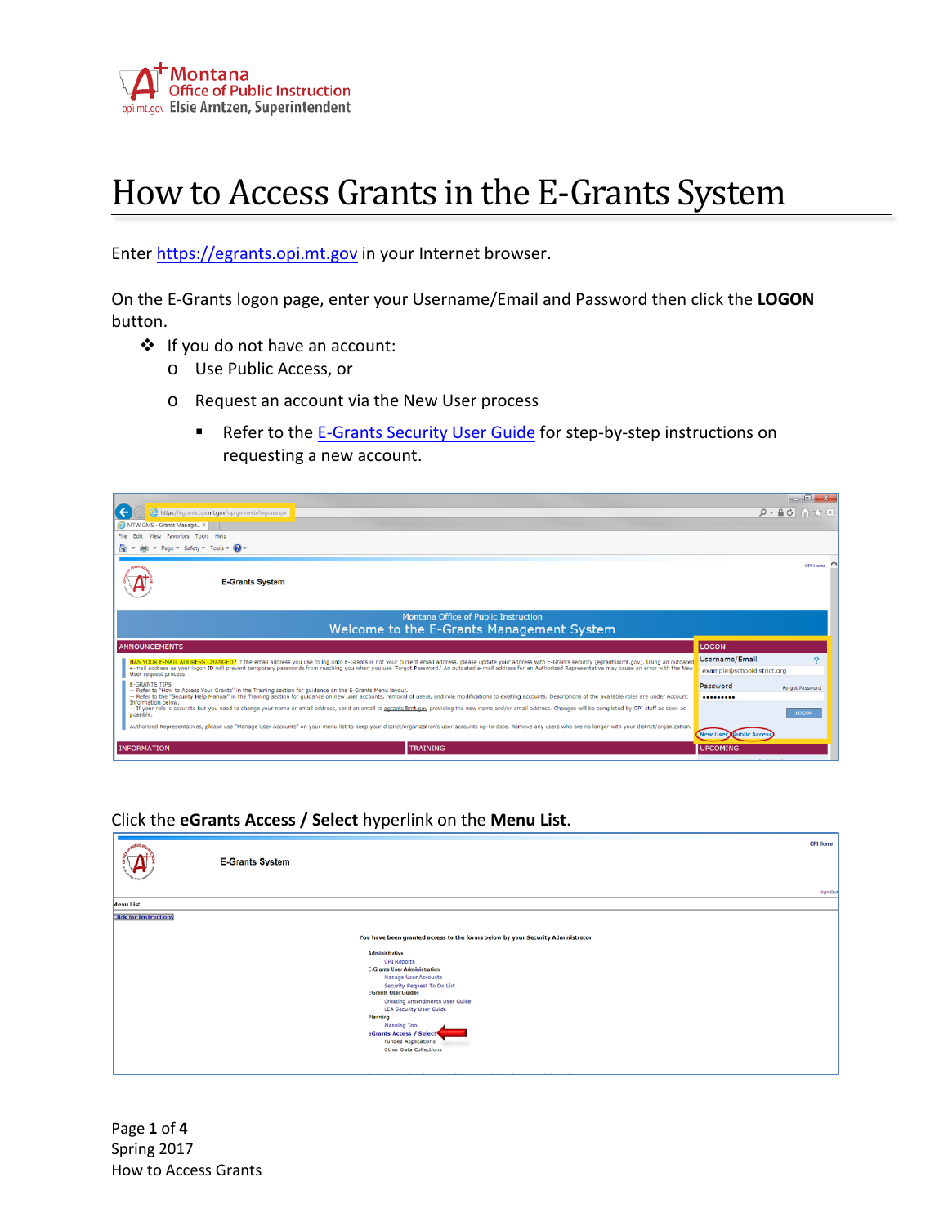

## How to Access Grants in the E-Grants System

Enter [https://egrants.opi.mt.gov](https://egrants.opi.mt.gov/) in your Internet browser.

On the E-Grants logon page, enter your Username/Email and Password then click the **LOGON** button.

- ❖ If you do not have an account:
	- o Use Public Access, or
	- o Request an account via the New User process
		- Refer to the [E-Grants Security User Guide](http://opi.mt.gov/pdf/Egrants/Security/EGrantsSecurityUserGuide.pdf) for step-by-step instructions on requesting a new account.



## Click the **eGrants Access / Select** hyperlink on the **Menu List**.

|                               | <b>E-Grants System</b>                                                                                                                                                                                                                                                                                                                                                    |
|-------------------------------|---------------------------------------------------------------------------------------------------------------------------------------------------------------------------------------------------------------------------------------------------------------------------------------------------------------------------------------------------------------------------|
|                               | Sign Out                                                                                                                                                                                                                                                                                                                                                                  |
| <b>Menu List</b>              |                                                                                                                                                                                                                                                                                                                                                                           |
| <b>Click for Instructions</b> |                                                                                                                                                                                                                                                                                                                                                                           |
|                               |                                                                                                                                                                                                                                                                                                                                                                           |
|                               | You have been granted access to the forms below by your Security Administrator                                                                                                                                                                                                                                                                                            |
|                               | Administrative<br><b>OPI Reports</b><br><b>E-Grants User Administration</b><br><b>Manage User Accounts</b><br>Security Request To Do List<br><b>EGrants User Guides</b><br><b>Creating Amendments User Guide</b><br><b>LEA Security User Guide</b><br>Planning<br>Planning Tool<br>eGrants Access / Select<br><b>Funded Applications</b><br><b>Other Data Collections</b> |

Page **1** of **4** Spring 2017 How to Access Grants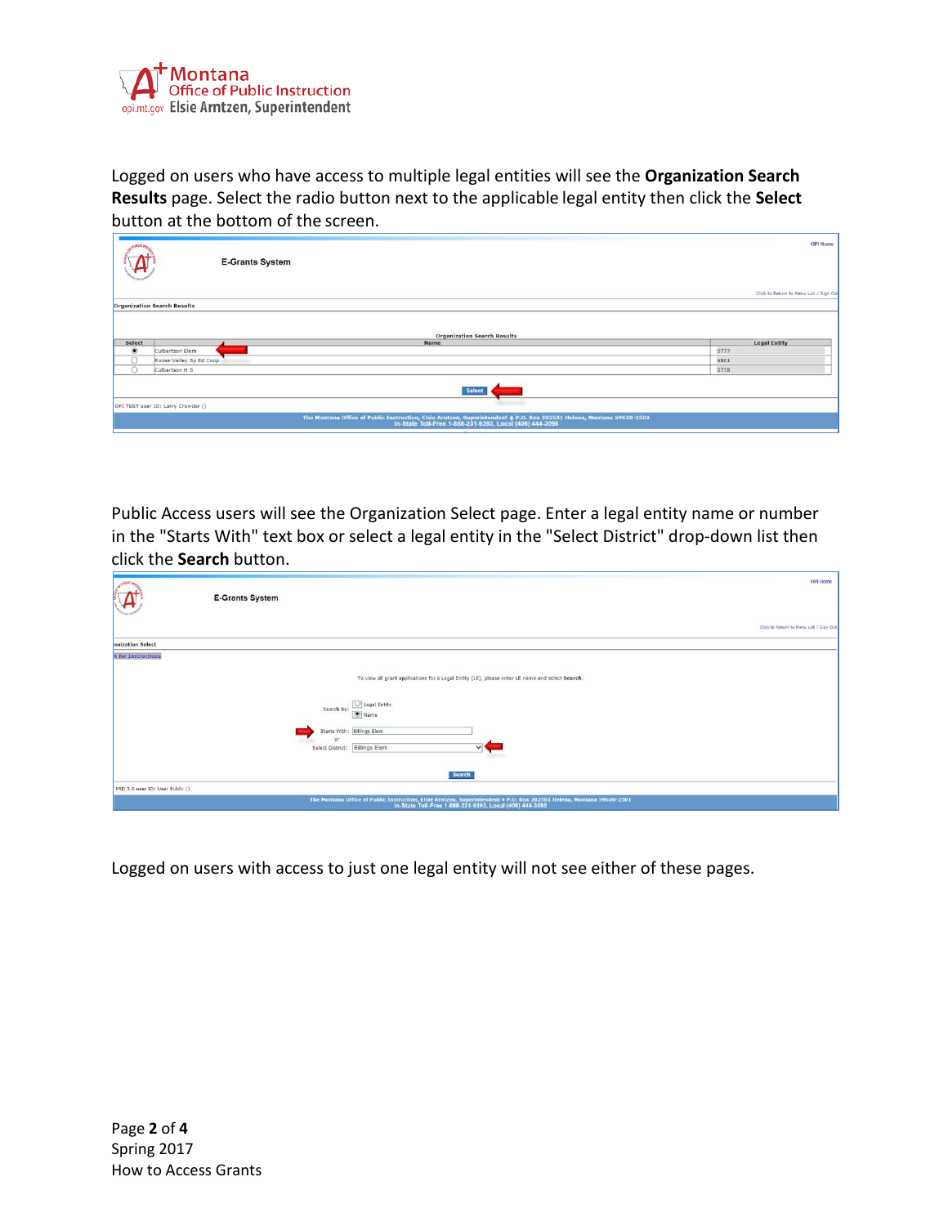

Logged on users who have access to multiple legal entities will see the **Organization Search Results** page. Select the radio button next to the applicable legal entity then click the **Select**  button at the bottom of the screen.

| Click to Return to Menu List / Sign Out |
|-----------------------------------------|
|                                         |
|                                         |
|                                         |
|                                         |
|                                         |
|                                         |
| <b>Legal Entity</b>                     |
|                                         |
|                                         |
|                                         |
|                                         |
|                                         |
|                                         |
|                                         |

Public Access users will see the Organization Select page. Enter a legal entity name or number in the "Starts With" text box or select a legal entity in the "Select District" drop-down list then click the **Search** button.

| So Poste asy<br>$\mathcal{A}$   | OPI Home<br><b>E-Grants System</b><br>Click to Return to Menu List / Sign Out                                                                                                                                                          |  |
|---------------------------------|----------------------------------------------------------------------------------------------------------------------------------------------------------------------------------------------------------------------------------------|--|
| anization Select                |                                                                                                                                                                                                                                        |  |
| k for Instructions              | To view all grant applications for a Legal Entity (LE), please enter LE name and select Search.<br>O Legal Entity<br>Search By:<br>$\Theta$ Name<br>Starts With: Billings Elem<br>or<br>Select District: Billings Elem<br>$\checkmark$ |  |
|                                 | Search                                                                                                                                                                                                                                 |  |
| PRD 5.0 user ID: User Public () |                                                                                                                                                                                                                                        |  |
|                                 | The Montana Office of Public Instruction, Elsie Arnizen, Superintendent + P.O. Box 202501 Helena, Montana 59620-2501<br>In-State Toll-Free 1-888-231-9393, Local (406) 444-3095                                                        |  |

Logged on users with access to just one legal entity will not see either of these pages.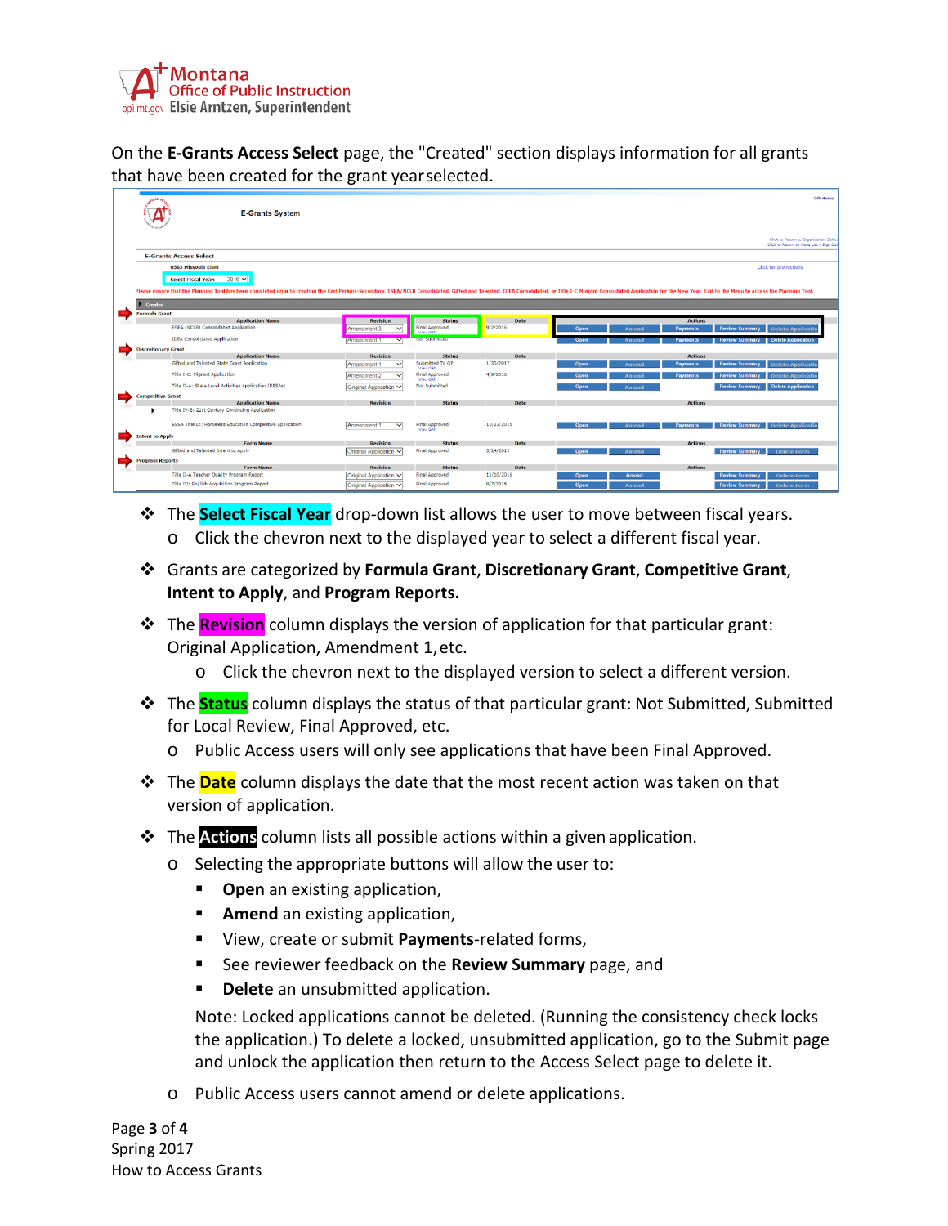

On the **E-Grants Access Select** page, the "Created" section displays information for all grants that have been created for the grant yearselected.

| <b>E-Grants System</b>                                                                                                                                                                                                                                                        |                                        |                                        |                          |                      |                 | OPI Home<br>Click to Return to Organization Select<br>Click to Return to Menu List / Sign Out |
|-------------------------------------------------------------------------------------------------------------------------------------------------------------------------------------------------------------------------------------------------------------------------------|----------------------------------------|----------------------------------------|--------------------------|----------------------|-----------------|-----------------------------------------------------------------------------------------------|
| <b>E-Grants Access Select</b>                                                                                                                                                                                                                                                 |                                        |                                        |                          |                      |                 |                                                                                               |
| 0583 Missoula Elem                                                                                                                                                                                                                                                            |                                        |                                        |                          |                      |                 | <b>Click for Instructions</b>                                                                 |
| $2016$ $\vee$<br><b>Select Fiscal Year:</b><br>Please ensure that the Planning Tool has been completed prior to creating the Carl Perkins-Secondary, ESEA/NCLB Consolidated, Gifted and Talented, IDEA Consolidated, or Title I-C Migrant Consoldated Application for the New |                                        |                                        |                          |                      |                 |                                                                                               |
| <b>Created</b>                                                                                                                                                                                                                                                                |                                        |                                        |                          |                      |                 |                                                                                               |
| <b>Formula Grant</b>                                                                                                                                                                                                                                                          |                                        |                                        |                          |                      |                 |                                                                                               |
| <b>Application Name</b><br>ESEA (NCLB) Consolidated Application                                                                                                                                                                                                               | <b>Revision</b>                        | <b>Status</b><br><b>Final Approved</b> | Date<br>9/2/2016         |                      | <b>Actions</b>  |                                                                                               |
|                                                                                                                                                                                                                                                                               | Amendment 3<br>$\checkmark$            | View GAN                               |                          | Open<br>Amend        | <b>Payments</b> | <b>Review Summary</b><br><b>Delete Applicatio</b>                                             |
| <b>IDEA Consolidated Application</b>                                                                                                                                                                                                                                          | $\overline{\mathbf{v}}$<br>Amendment 1 | not supmitted                          |                          | Upen<br>Amend        | Paymonts        | <b>Delete Application</b><br><b>Review Summary</b>                                            |
| <b>Discretionary Grant</b>                                                                                                                                                                                                                                                    |                                        |                                        |                          |                      |                 |                                                                                               |
| <b>Application Name</b><br>Gifted and Talented State Grant Application                                                                                                                                                                                                        | <b>Revision</b>                        | <b>Status</b><br>Submitted To OPI      | <b>Date</b><br>1/30/2017 |                      | <b>Actions</b>  |                                                                                               |
|                                                                                                                                                                                                                                                                               | Amendment 1<br>$\checkmark$            | View GAN                               |                          | Open<br><b>Amend</b> | <b>Payments</b> | <b>Review Summary</b><br><b>Delete Applicatio</b>                                             |
| <b>Title I-C: Migrant Application</b>                                                                                                                                                                                                                                         | Amendment 2<br>$\checkmark$            | <b>Final Approved</b><br>View GAN      | 4/8/2016                 | Open<br><b>Amend</b> | <b>Payments</b> | <b>Review Summary</b><br><b>Delete Applicatio</b>                                             |
| Title II-A: State Level Activities Application (RESAs)                                                                                                                                                                                                                        | Original Application V                 | Not Submitted                          |                          | Open<br><b>Amend</b> |                 | <b>Delete Application</b><br><b>Review Summary</b>                                            |
| <b>Competitive Grant</b>                                                                                                                                                                                                                                                      |                                        |                                        |                          |                      |                 |                                                                                               |
| <b>Application Name</b>                                                                                                                                                                                                                                                       | <b>Revision</b>                        | <b>Status</b>                          | Date                     |                      | <b>Actions</b>  |                                                                                               |
| Title IV-B: 21st Century Continuing Application                                                                                                                                                                                                                               |                                        |                                        |                          |                      |                 |                                                                                               |
| <b>ESSA Title IX: Homeless Education Competitive Application</b>                                                                                                                                                                                                              | Amendment 1<br>$\checkmark$            | <b>Final Approved</b>                  | 10/23/2015               | Open<br><b>Amend</b> | <b>Payments</b> | <b>Review Summary</b><br><b>Delete Applicatio</b>                                             |
|                                                                                                                                                                                                                                                                               |                                        | View GAN                               |                          |                      |                 |                                                                                               |
| <b>Intent to Apply</b><br><b>Form Name</b>                                                                                                                                                                                                                                    | <b>Revision</b>                        | <b>Status</b>                          | <b>Date</b>              |                      | <b>Actions</b>  |                                                                                               |
| Gifted and Talented Intent to Apply                                                                                                                                                                                                                                           | Original Application V                 | Final Approved                         | 3/24/2015                | Open<br>Amend        |                 | <b>Review Summary</b><br><b>Delete Form</b>                                                   |
| <b>Program Reports</b>                                                                                                                                                                                                                                                        |                                        |                                        |                          |                      |                 |                                                                                               |
| <b>Form Name</b>                                                                                                                                                                                                                                                              | <b>Revision</b>                        | <b>Status</b>                          | Date                     |                      | <b>Actions</b>  |                                                                                               |
| Title II-A Teacher Quality Program Report                                                                                                                                                                                                                                     | Original Application V                 | <b>Final Approved</b>                  | 11/10/2016               | <b>Amend</b><br>Open |                 | <b>Review Summary</b><br><b>Delete Form</b>                                                   |
| Title III: English Acquisition Program Report                                                                                                                                                                                                                                 | Original Application V                 | <b>Final Approved</b>                  | 9/7/2016                 | Open<br><b>Amend</b> |                 | <b>Review Summary</b><br><b>Delete Form</b>                                                   |

- The **Select Fiscal Year** drop-down list allows the user to move between fiscal years.  $\circ$  Click the chevron next to the displayed year to select a different fiscal year.
- Grants are categorized by **Formula Grant**, **Discretionary Grant**, **Competitive Grant**, **Intent to Apply**, and **Program Reports.**
- The **Revision** column displays the version of application for that particular grant: Original Application, Amendment 1,etc.
	- o Click the chevron next to the displayed version to select a different version.
- The **Status** column displays the status of that particular grant: Not Submitted, Submitted for Local Review, Final Approved, etc.
	- o Public Access users will only see applications that have been Final Approved.
- The **Date** column displays the date that the most recent action was taken on that version of application.
- The **Actions** column lists all possible actions within a given application.
	- o Selecting the appropriate buttons will allow the user to:
		- **Open** an existing application,
		- **Amend** an existing application,
		- View, create or submit **Payments**-related forms,
		- See reviewer feedback on the **Review Summary** page, and
		- **Delete** an unsubmitted application.

Note: Locked applications cannot be deleted. (Running the consistency check locks the application.) To delete a locked, unsubmitted application, go to the Submit page and unlock the application then return to the Access Select page to delete it.

o Public Access users cannot amend or delete applications.